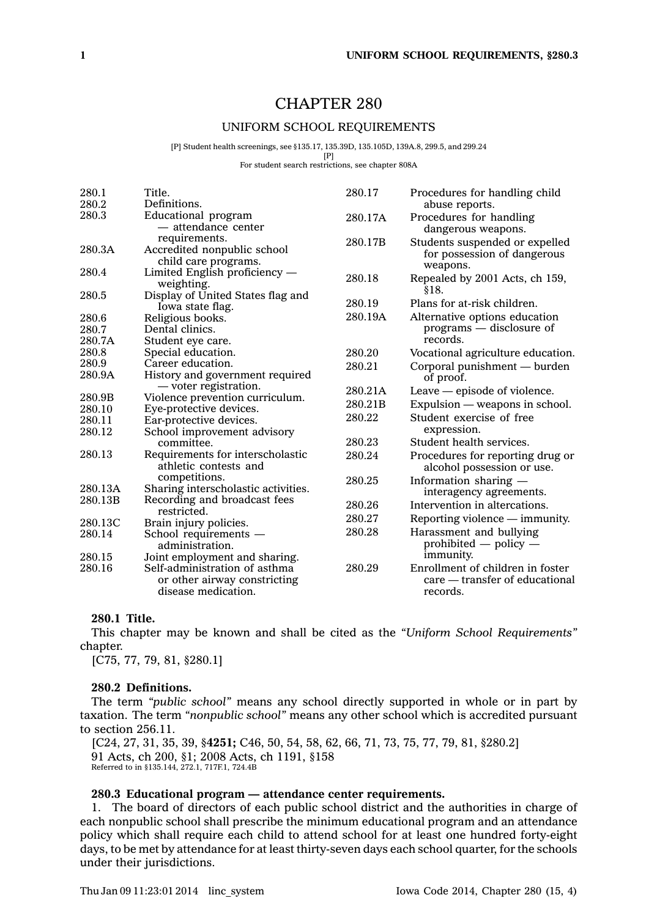# CHAPTER 280

### UNIFORM SCHOOL REQUIREMENTS

[P] Student health screenings, see §135.17, 135.39D, 135.105D, 139A.8, 299.5, and 299.24

 $[P]$ 

For student search restrictions, see chapter 808A

| 280.1<br>280.2           | Title.<br>Definitions.                                                               | 280.17  | Procedures for handling child<br>abuse reports.                                |
|--------------------------|--------------------------------------------------------------------------------------|---------|--------------------------------------------------------------------------------|
| 280.3                    | Educational program<br>- attendance center                                           | 280.17A | Procedures for handling<br>dangerous weapons.                                  |
| 280.3A                   | requirements.<br>Accredited nonpublic school<br>child care programs.                 | 280.17B | Students suspended or expelled<br>for possession of dangerous<br>weapons.      |
| 280.4                    | Limited English proficiency -<br>weighting.                                          | 280.18  | Repealed by 2001 Acts, ch 159,<br>§18.                                         |
| 280.5                    | Display of United States flag and<br>Iowa state flag.                                | 280.19  | Plans for at-risk children.                                                    |
| 280.6<br>280.7<br>280.7A | Religious books.<br>Dental clinics.<br>Student eye care.                             | 280.19A | Alternative options education<br>$programs$ — disclosure of<br>records.        |
| 280.8                    | Special education.                                                                   | 280.20  | Vocational agriculture education.                                              |
| 280.9<br>280.9A          | Career education.<br>History and government required                                 | 280.21  | Corporal punishment — burden<br>of proof.                                      |
|                          | — voter registration.                                                                | 280.21A | Leave — episode of violence.                                                   |
| 280.9B                   | Violence prevention curriculum.                                                      | 280.21B | Expulsion — weapons in school.                                                 |
| 280.10                   | Eye-protective devices.                                                              | 280.22  | Student exercise of free                                                       |
| 280.11                   | Ear-protective devices.                                                              |         | expression.                                                                    |
| 280.12                   | School improvement advisory<br>committee.                                            | 280.23  | Student health services.                                                       |
| 280.13                   | Requirements for interscholastic<br>athletic contests and                            | 280.24  | Procedures for reporting drug or<br>alcohol possession or use.                 |
| 280.13A                  | competitions.<br>Sharing interscholastic activities.                                 | 280.25  | Information sharing —<br>interagency agreements.                               |
| 280.13B                  | Recording and broadcast fees                                                         | 280.26  | Intervention in altercations.                                                  |
| 280.13C                  | restricted.<br>Brain injury policies.                                                | 280.27  | Reporting violence - immunity.                                                 |
| 280.14                   | School requirements -<br>administration.                                             | 280.28  | Harassment and bullying<br>prohibited $-$ policy $-$                           |
| 280.15                   | Joint employment and sharing.                                                        |         | immunity.                                                                      |
| 280.16                   | Self-administration of asthma<br>or other airway constricting<br>disease medication. | 280.29  | Enrollment of children in foster<br>care — transfer of educational<br>records. |

# **280.1 Title.**

This chapter may be known and shall be cited as the *"Uniform School Requirements"* chapter.

[C75, 77, 79, 81, §280.1]

#### **280.2 Definitions.**

The term *"public school"* means any school directly supported in whole or in part by taxation. The term *"nonpublic school"* means any other school which is accredited pursuant to section 256.11.

[C24, 27, 31, 35, 39, §**4251;** C46, 50, 54, 58, 62, 66, 71, 73, 75, 77, 79, 81, §280.2] 91 Acts, ch 200, §1; 2008 Acts, ch 1191, §158 Referred to in §135.144, 272.1, 717F.1, 724.4B

# **280.3 Educational program — attendance center requirements.**

1. The board of directors of each public school district and the authorities in charge of each nonpublic school shall prescribe the minimum educational program and an attendance policy which shall require each child to attend school for at least one hundred forty-eight days, to be met by attendance for at least thirty-seven days each school quarter, for the schools under their jurisdictions.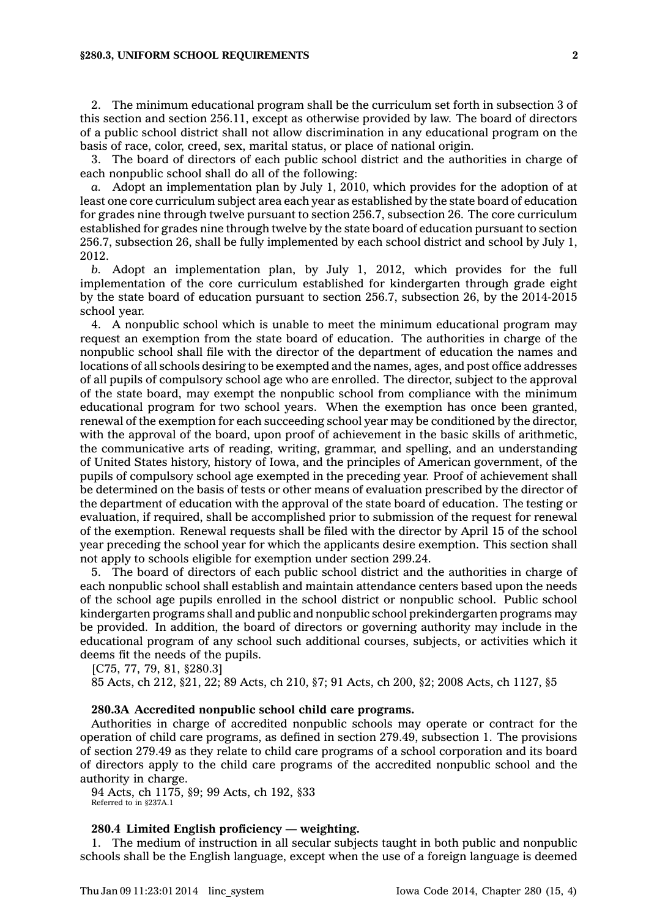#### **§280.3, UNIFORM SCHOOL REQUIREMENTS 2**

2. The minimum educational program shall be the curriculum set forth in subsection 3 of this section and section 256.11, except as otherwise provided by law. The board of directors of <sup>a</sup> public school district shall not allow discrimination in any educational program on the basis of race, color, creed, sex, marital status, or place of national origin.

3. The board of directors of each public school district and the authorities in charge of each nonpublic school shall do all of the following:

*a.* Adopt an implementation plan by July 1, 2010, which provides for the adoption of at least one core curriculum subject area each year as established by the state board of education for grades nine through twelve pursuant to section 256.7, subsection 26. The core curriculum established for grades nine through twelve by the state board of education pursuant to section 256.7, subsection 26, shall be fully implemented by each school district and school by July 1, 2012.

*b.* Adopt an implementation plan, by July 1, 2012, which provides for the full implementation of the core curriculum established for kindergarten through grade eight by the state board of education pursuant to section 256.7, subsection 26, by the 2014-2015 school year.

4. A nonpublic school which is unable to meet the minimum educational program may request an exemption from the state board of education. The authorities in charge of the nonpublic school shall file with the director of the department of education the names and locations of all schools desiring to be exempted and the names, ages, and post office addresses of all pupils of compulsory school age who are enrolled. The director, subject to the approval of the state board, may exempt the nonpublic school from compliance with the minimum educational program for two school years. When the exemption has once been granted, renewal of the exemption for each succeeding school year may be conditioned by the director, with the approval of the board, upon proof of achievement in the basic skills of arithmetic, the communicative arts of reading, writing, grammar, and spelling, and an understanding of United States history, history of Iowa, and the principles of American government, of the pupils of compulsory school age exempted in the preceding year. Proof of achievement shall be determined on the basis of tests or other means of evaluation prescribed by the director of the department of education with the approval of the state board of education. The testing or evaluation, if required, shall be accomplished prior to submission of the request for renewal of the exemption. Renewal requests shall be filed with the director by April 15 of the school year preceding the school year for which the applicants desire exemption. This section shall not apply to schools eligible for exemption under section 299.24.

5. The board of directors of each public school district and the authorities in charge of each nonpublic school shall establish and maintain attendance centers based upon the needs of the school age pupils enrolled in the school district or nonpublic school. Public school kindergarten programs shall and public and nonpublic school prekindergarten programs may be provided. In addition, the board of directors or governing authority may include in the educational program of any school such additional courses, subjects, or activities which it deems fit the needs of the pupils.

[C75, 77, 79, 81, §280.3]

85 Acts, ch 212, §21, 22; 89 Acts, ch 210, §7; 91 Acts, ch 200, §2; 2008 Acts, ch 1127, §5

# **280.3A Accredited nonpublic school child care programs.**

Authorities in charge of accredited nonpublic schools may operate or contract for the operation of child care programs, as defined in section 279.49, subsection 1. The provisions of section 279.49 as they relate to child care programs of <sup>a</sup> school corporation and its board of directors apply to the child care programs of the accredited nonpublic school and the authority in charge.

94 Acts, ch 1175, §9; 99 Acts, ch 192, §33 Referred to in §237A.1

# **280.4 Limited English proficiency — weighting.**

1. The medium of instruction in all secular subjects taught in both public and nonpublic schools shall be the English language, except when the use of <sup>a</sup> foreign language is deemed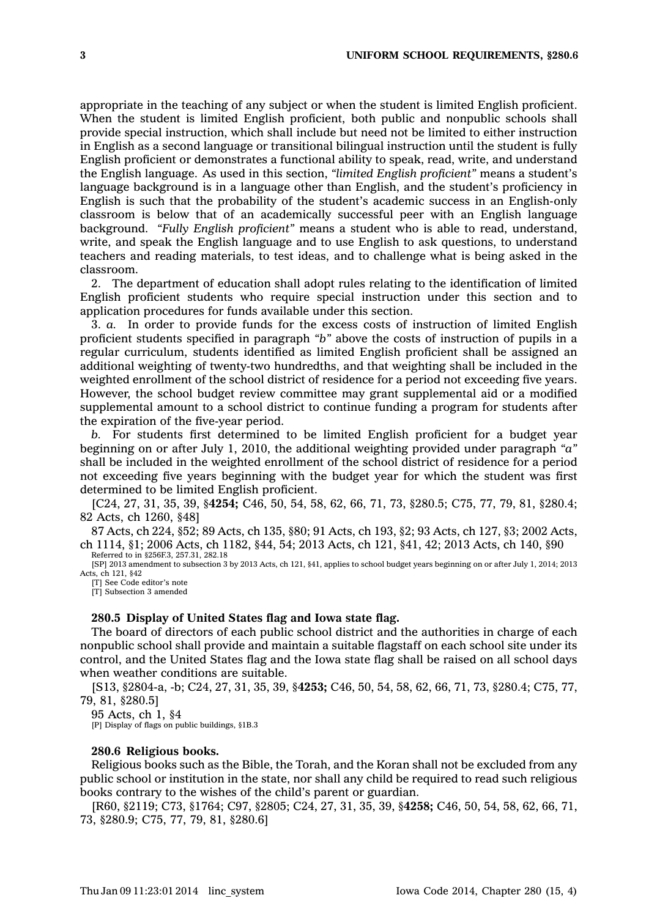appropriate in the teaching of any subject or when the student is limited English proficient. When the student is limited English proficient, both public and nonpublic schools shall provide special instruction, which shall include but need not be limited to either instruction in English as <sup>a</sup> second language or transitional bilingual instruction until the student is fully English proficient or demonstrates <sup>a</sup> functional ability to speak, read, write, and understand the English language. As used in this section, *"limited English proficient"* means <sup>a</sup> student's language background is in <sup>a</sup> language other than English, and the student's proficiency in English is such that the probability of the student's academic success in an English-only classroom is below that of an academically successful peer with an English language background. *"Fully English proficient"* means <sup>a</sup> student who is able to read, understand, write, and speak the English language and to use English to ask questions, to understand teachers and reading materials, to test ideas, and to challenge what is being asked in the classroom.

2. The department of education shall adopt rules relating to the identification of limited English proficient students who require special instruction under this section and to application procedures for funds available under this section.

3. *a.* In order to provide funds for the excess costs of instruction of limited English proficient students specified in paragraph *"b"* above the costs of instruction of pupils in <sup>a</sup> regular curriculum, students identified as limited English proficient shall be assigned an additional weighting of twenty-two hundredths, and that weighting shall be included in the weighted enrollment of the school district of residence for <sup>a</sup> period not exceeding five years. However, the school budget review committee may grant supplemental aid or <sup>a</sup> modified supplemental amount to <sup>a</sup> school district to continue funding <sup>a</sup> program for students after the expiration of the five-year period.

*b.* For students first determined to be limited English proficient for <sup>a</sup> budget year beginning on or after July 1, 2010, the additional weighting provided under paragraph *"a"* shall be included in the weighted enrollment of the school district of residence for <sup>a</sup> period not exceeding five years beginning with the budget year for which the student was first determined to be limited English proficient.

[C24, 27, 31, 35, 39, §**4254;** C46, 50, 54, 58, 62, 66, 71, 73, §280.5; C75, 77, 79, 81, §280.4; 82 Acts, ch 1260, §48]

87 Acts, ch 224, §52; 89 Acts, ch 135, §80; 91 Acts, ch 193, §2; 93 Acts, ch 127, §3; 2002 Acts, ch 1114, §1; 2006 Acts, ch 1182, §44, 54; 2013 Acts, ch 121, §41, 42; 2013 Acts, ch 140, §90 Referred to in §256F.3, 257.31, 282.18

[SP] 2013 amendment to subsection 3 by 2013 Acts, ch 121, §41, applies to school budget years beginning on or after July 1, 2014; 2013 Acts, ch 121, §42

[T] See Code editor's note [T] Subsection 3 amended

#### **280.5 Display of United States flag and Iowa state flag.**

The board of directors of each public school district and the authorities in charge of each nonpublic school shall provide and maintain <sup>a</sup> suitable flagstaff on each school site under its control, and the United States flag and the Iowa state flag shall be raised on all school days when weather conditions are suitable.

[S13, §2804-a, -b; C24, 27, 31, 35, 39, §**4253;** C46, 50, 54, 58, 62, 66, 71, 73, §280.4; C75, 77, 79, 81, §280.5]

95 Acts, ch 1, §4

[P] Display of flags on public buildings, §1B.3

#### **280.6 Religious books.**

Religious books such as the Bible, the Torah, and the Koran shall not be excluded from any public school or institution in the state, nor shall any child be required to read such religious books contrary to the wishes of the child's parent or guardian.

[R60, §2119; C73, §1764; C97, §2805; C24, 27, 31, 35, 39, §**4258;** C46, 50, 54, 58, 62, 66, 71, 73, §280.9; C75, 77, 79, 81, §280.6]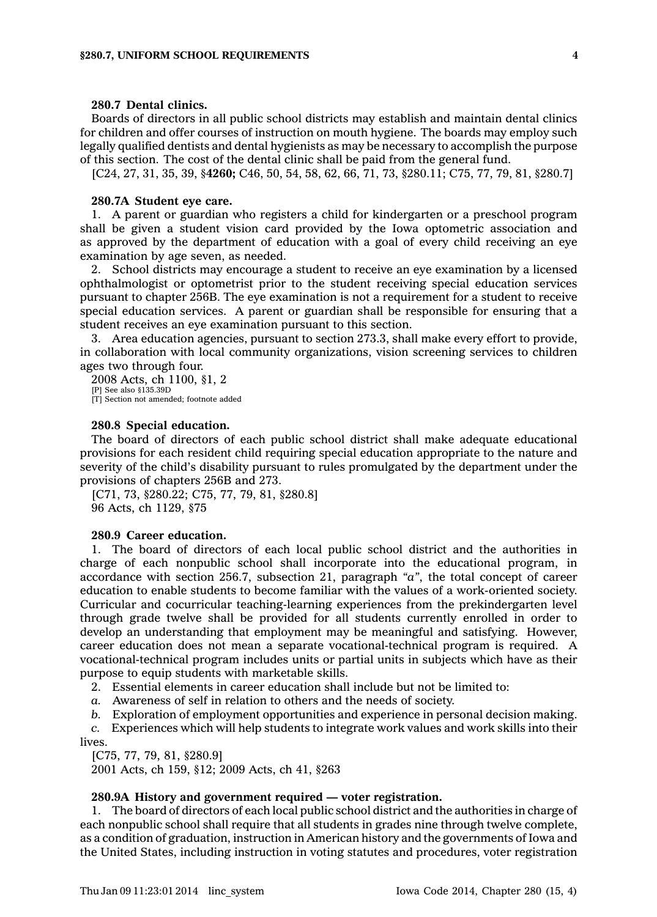# **280.7 Dental clinics.**

Boards of directors in all public school districts may establish and maintain dental clinics for children and offer courses of instruction on mouth hygiene. The boards may employ such legally qualified dentists and dental hygienists as may be necessary to accomplish the purpose of this section. The cost of the dental clinic shall be paid from the general fund.

[C24, 27, 31, 35, 39, §**4260;** C46, 50, 54, 58, 62, 66, 71, 73, §280.11; C75, 77, 79, 81, §280.7]

#### **280.7A Student eye care.**

1. A parent or guardian who registers <sup>a</sup> child for kindergarten or <sup>a</sup> preschool program shall be given <sup>a</sup> student vision card provided by the Iowa optometric association and as approved by the department of education with <sup>a</sup> goal of every child receiving an eye examination by age seven, as needed.

2. School districts may encourage <sup>a</sup> student to receive an eye examination by <sup>a</sup> licensed ophthalmologist or optometrist prior to the student receiving special education services pursuant to chapter 256B. The eye examination is not <sup>a</sup> requirement for <sup>a</sup> student to receive special education services. A parent or guardian shall be responsible for ensuring that <sup>a</sup> student receives an eye examination pursuant to this section.

3. Area education agencies, pursuant to section 273.3, shall make every effort to provide, in collaboration with local community organizations, vision screening services to children ages two through four.

2008 Acts, ch 1100, §1, 2 [P] See also §135.39D [T] Section not amended; footnote added

# **280.8 Special education.**

The board of directors of each public school district shall make adequate educational provisions for each resident child requiring special education appropriate to the nature and severity of the child's disability pursuant to rules promulgated by the department under the provisions of chapters 256B and 273.

[C71, 73, §280.22; C75, 77, 79, 81, §280.8] 96 Acts, ch 1129, §75

# **280.9 Career education.**

1. The board of directors of each local public school district and the authorities in charge of each nonpublic school shall incorporate into the educational program, in accordance with section 256.7, subsection 21, paragraph *"a"*, the total concept of career education to enable students to become familiar with the values of <sup>a</sup> work-oriented society. Curricular and cocurricular teaching-learning experiences from the prekindergarten level through grade twelve shall be provided for all students currently enrolled in order to develop an understanding that employment may be meaningful and satisfying. However, career education does not mean <sup>a</sup> separate vocational-technical program is required. A vocational-technical program includes units or partial units in subjects which have as their purpose to equip students with marketable skills.

2. Essential elements in career education shall include but not be limited to:

*a.* Awareness of self in relation to others and the needs of society.

*b.* Exploration of employment opportunities and experience in personal decision making.

*c.* Experiences which will help students to integrate work values and work skills into their lives.

[C75, 77, 79, 81, §280.9]

2001 Acts, ch 159, §12; 2009 Acts, ch 41, §263

### **280.9A History and government required — voter registration.**

1. The board of directors of each local public school district and the authorities in charge of each nonpublic school shall require that all students in grades nine through twelve complete, as <sup>a</sup> condition of graduation, instruction in American history and the governments of Iowa and the United States, including instruction in voting statutes and procedures, voter registration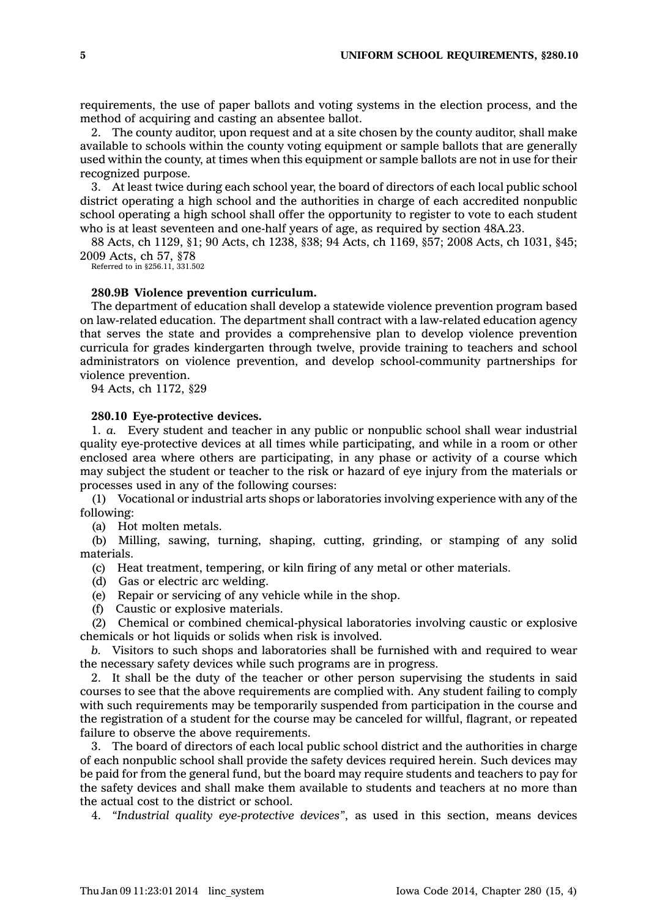requirements, the use of paper ballots and voting systems in the election process, and the method of acquiring and casting an absentee ballot.

2. The county auditor, upon request and at <sup>a</sup> site chosen by the county auditor, shall make available to schools within the county voting equipment or sample ballots that are generally used within the county, at times when this equipment or sample ballots are not in use for their recognized purpose.

3. At least twice during each school year, the board of directors of each local public school district operating <sup>a</sup> high school and the authorities in charge of each accredited nonpublic school operating <sup>a</sup> high school shall offer the opportunity to register to vote to each student who is at least seventeen and one-half years of age, as required by section 48A.23.

88 Acts, ch 1129, §1; 90 Acts, ch 1238, §38; 94 Acts, ch 1169, §57; 2008 Acts, ch 1031, §45; 2009 Acts, ch 57, §78

Referred to in §256.11, 331.502

### **280.9B Violence prevention curriculum.**

The department of education shall develop <sup>a</sup> statewide violence prevention program based on law-related education. The department shall contract with <sup>a</sup> law-related education agency that serves the state and provides <sup>a</sup> comprehensive plan to develop violence prevention curricula for grades kindergarten through twelve, provide training to teachers and school administrators on violence prevention, and develop school-community partnerships for violence prevention.

94 Acts, ch 1172, §29

### **280.10 Eye-protective devices.**

1. *a.* Every student and teacher in any public or nonpublic school shall wear industrial quality eye-protective devices at all times while participating, and while in <sup>a</sup> room or other enclosed area where others are participating, in any phase or activity of <sup>a</sup> course which may subject the student or teacher to the risk or hazard of eye injury from the materials or processes used in any of the following courses:

(1) Vocational or industrial arts shops or laboratories involving experience with any of the following:

(a) Hot molten metals.

(b) Milling, sawing, turning, shaping, cutting, grinding, or stamping of any solid materials.

(c) Heat treatment, tempering, or kiln firing of any metal or other materials.

(d) Gas or electric arc welding.

(e) Repair or servicing of any vehicle while in the shop.

(f) Caustic or explosive materials.

(2) Chemical or combined chemical-physical laboratories involving caustic or explosive chemicals or hot liquids or solids when risk is involved.

*b.* Visitors to such shops and laboratories shall be furnished with and required to wear the necessary safety devices while such programs are in progress.

2. It shall be the duty of the teacher or other person supervising the students in said courses to see that the above requirements are complied with. Any student failing to comply with such requirements may be temporarily suspended from participation in the course and the registration of <sup>a</sup> student for the course may be canceled for willful, flagrant, or repeated failure to observe the above requirements.

3. The board of directors of each local public school district and the authorities in charge of each nonpublic school shall provide the safety devices required herein. Such devices may be paid for from the general fund, but the board may require students and teachers to pay for the safety devices and shall make them available to students and teachers at no more than the actual cost to the district or school.

4. *"Industrial quality eye-protective devices"*, as used in this section, means devices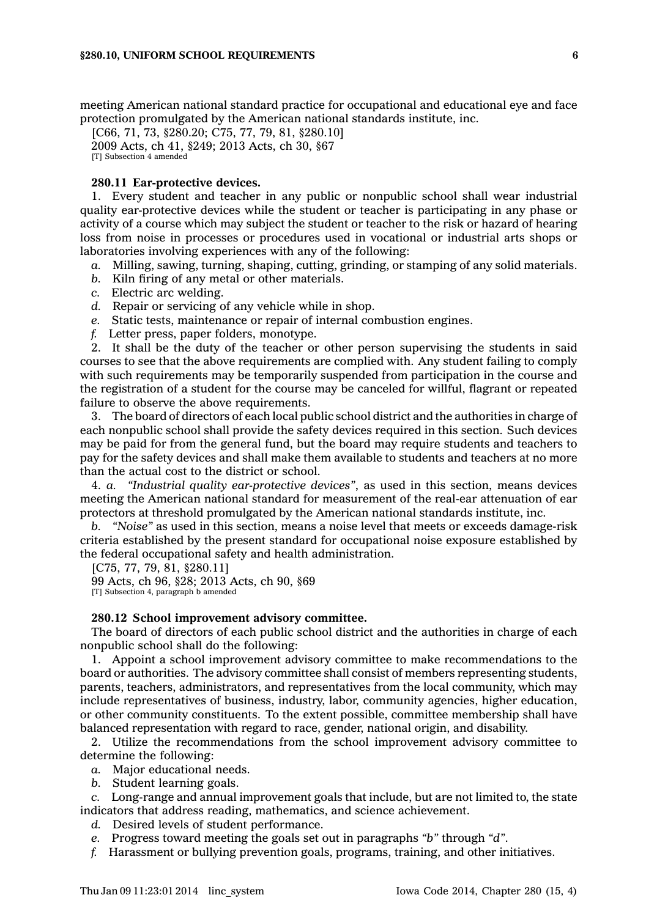meeting American national standard practice for occupational and educational eye and face protection promulgated by the American national standards institute, inc.

[C66, 71, 73, §280.20; C75, 77, 79, 81, §280.10] 2009 Acts, ch 41, §249; 2013 Acts, ch 30, §67 [T] Subsection 4 amended

#### **280.11 Ear-protective devices.**

1. Every student and teacher in any public or nonpublic school shall wear industrial quality ear-protective devices while the student or teacher is participating in any phase or activity of <sup>a</sup> course which may subject the student or teacher to the risk or hazard of hearing loss from noise in processes or procedures used in vocational or industrial arts shops or laboratories involving experiences with any of the following:

- *a.* Milling, sawing, turning, shaping, cutting, grinding, or stamping of any solid materials.
- *b.* Kiln firing of any metal or other materials.
- *c.* Electric arc welding.
- *d.* Repair or servicing of any vehicle while in shop.
- *e.* Static tests, maintenance or repair of internal combustion engines.
- *f.* Letter press, paper folders, monotype.

2. It shall be the duty of the teacher or other person supervising the students in said courses to see that the above requirements are complied with. Any student failing to comply with such requirements may be temporarily suspended from participation in the course and the registration of <sup>a</sup> student for the course may be canceled for willful, flagrant or repeated failure to observe the above requirements.

3. The board of directors of each local public school district and the authorities in charge of each nonpublic school shall provide the safety devices required in this section. Such devices may be paid for from the general fund, but the board may require students and teachers to pay for the safety devices and shall make them available to students and teachers at no more than the actual cost to the district or school.

4. *a. "Industrial quality ear-protective devices"*, as used in this section, means devices meeting the American national standard for measurement of the real-ear attenuation of ear protectors at threshold promulgated by the American national standards institute, inc.

*b. "Noise"* as used in this section, means <sup>a</sup> noise level that meets or exceeds damage-risk criteria established by the present standard for occupational noise exposure established by the federal occupational safety and health administration.

[C75, 77, 79, 81, §280.11]

99 Acts, ch 96, §28; 2013 Acts, ch 90, §69 [T] Subsection 4, paragraph b amended

### **280.12 School improvement advisory committee.**

The board of directors of each public school district and the authorities in charge of each nonpublic school shall do the following:

1. Appoint <sup>a</sup> school improvement advisory committee to make recommendations to the board or authorities. The advisory committee shall consist of members representing students, parents, teachers, administrators, and representatives from the local community, which may include representatives of business, industry, labor, community agencies, higher education, or other community constituents. To the extent possible, committee membership shall have balanced representation with regard to race, gender, national origin, and disability.

2. Utilize the recommendations from the school improvement advisory committee to determine the following:

- *a.* Major educational needs.
- *b.* Student learning goals.

*c.* Long-range and annual improvement goals that include, but are not limited to, the state indicators that address reading, mathematics, and science achievement.

- *d.* Desired levels of student performance.
- *e.* Progress toward meeting the goals set out in paragraphs *"b"* through *"d"*.
- *f.* Harassment or bullying prevention goals, programs, training, and other initiatives.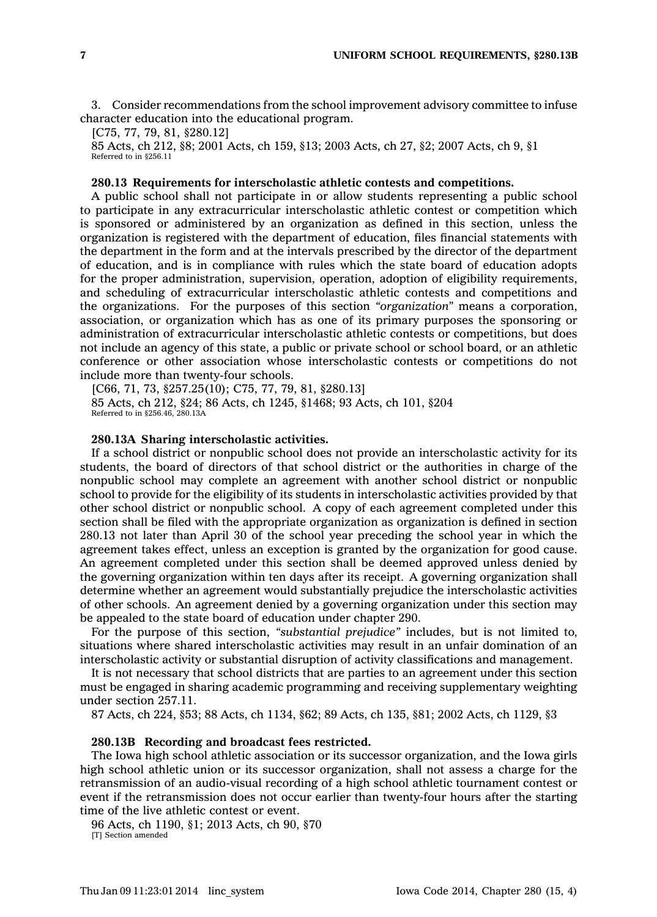3. Consider recommendations from the school improvement advisory committee to infuse character education into the educational program.

[C75, 77, 79, 81, §280.12]

85 Acts, ch 212, §8; 2001 Acts, ch 159, §13; 2003 Acts, ch 27, §2; 2007 Acts, ch 9, §1 Referred to in §256.11

# **280.13 Requirements for interscholastic athletic contests and competitions.**

A public school shall not participate in or allow students representing <sup>a</sup> public school to participate in any extracurricular interscholastic athletic contest or competition which is sponsored or administered by an organization as defined in this section, unless the organization is registered with the department of education, files financial statements with the department in the form and at the intervals prescribed by the director of the department of education, and is in compliance with rules which the state board of education adopts for the proper administration, supervision, operation, adoption of eligibility requirements, and scheduling of extracurricular interscholastic athletic contests and competitions and the organizations. For the purposes of this section *"organization"* means <sup>a</sup> corporation, association, or organization which has as one of its primary purposes the sponsoring or administration of extracurricular interscholastic athletic contests or competitions, but does not include an agency of this state, <sup>a</sup> public or private school or school board, or an athletic conference or other association whose interscholastic contests or competitions do not include more than twenty-four schools.

[C66, 71, 73, §257.25(10); C75, 77, 79, 81, §280.13] 85 Acts, ch 212, §24; 86 Acts, ch 1245, §1468; 93 Acts, ch 101, §204 Referred to in §256.46, 280.13A

### **280.13A Sharing interscholastic activities.**

If <sup>a</sup> school district or nonpublic school does not provide an interscholastic activity for its students, the board of directors of that school district or the authorities in charge of the nonpublic school may complete an agreement with another school district or nonpublic school to provide for the eligibility of its students in interscholastic activities provided by that other school district or nonpublic school. A copy of each agreement completed under this section shall be filed with the appropriate organization as organization is defined in section 280.13 not later than April 30 of the school year preceding the school year in which the agreement takes effect, unless an exception is granted by the organization for good cause. An agreement completed under this section shall be deemed approved unless denied by the governing organization within ten days after its receipt. A governing organization shall determine whether an agreement would substantially prejudice the interscholastic activities of other schools. An agreement denied by <sup>a</sup> governing organization under this section may be appealed to the state board of education under chapter 290.

For the purpose of this section, *"substantial prejudice"* includes, but is not limited to, situations where shared interscholastic activities may result in an unfair domination of an interscholastic activity or substantial disruption of activity classifications and management.

It is not necessary that school districts that are parties to an agreement under this section must be engaged in sharing academic programming and receiving supplementary weighting under section 257.11.

87 Acts, ch 224, §53; 88 Acts, ch 1134, §62; 89 Acts, ch 135, §81; 2002 Acts, ch 1129, §3

# **280.13B Recording and broadcast fees restricted.**

The Iowa high school athletic association or its successor organization, and the Iowa girls high school athletic union or its successor organization, shall not assess <sup>a</sup> charge for the retransmission of an audio-visual recording of <sup>a</sup> high school athletic tournament contest or event if the retransmission does not occur earlier than twenty-four hours after the starting time of the live athletic contest or event.

96 Acts, ch 1190, §1; 2013 Acts, ch 90, §70 [T] Section amended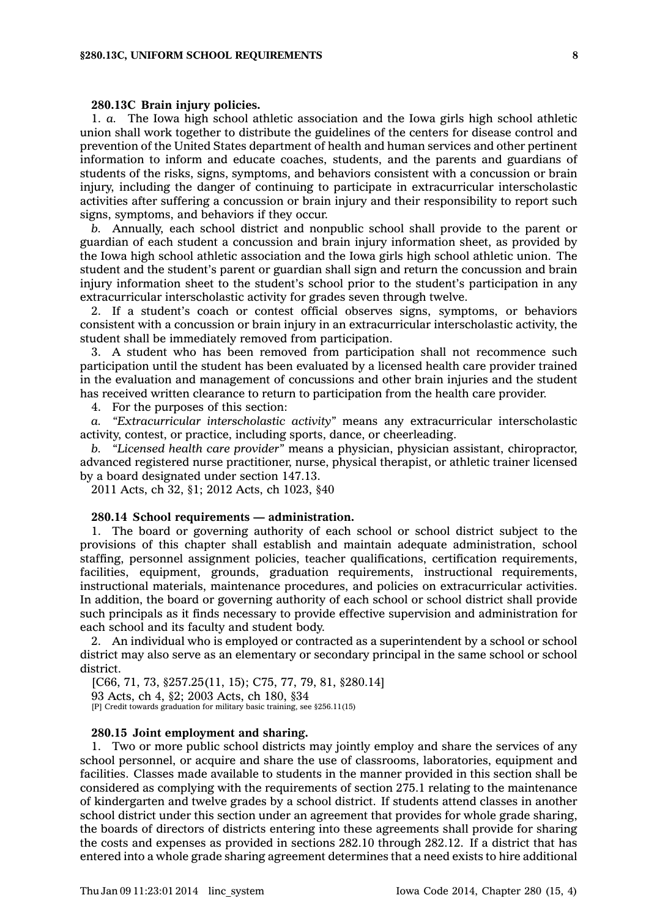#### **280.13C Brain injury policies.**

1. *a.* The Iowa high school athletic association and the Iowa girls high school athletic union shall work together to distribute the guidelines of the centers for disease control and prevention of the United States department of health and human services and other pertinent information to inform and educate coaches, students, and the parents and guardians of students of the risks, signs, symptoms, and behaviors consistent with <sup>a</sup> concussion or brain injury, including the danger of continuing to participate in extracurricular interscholastic activities after suffering <sup>a</sup> concussion or brain injury and their responsibility to report such signs, symptoms, and behaviors if they occur.

*b.* Annually, each school district and nonpublic school shall provide to the parent or guardian of each student <sup>a</sup> concussion and brain injury information sheet, as provided by the Iowa high school athletic association and the Iowa girls high school athletic union. The student and the student's parent or guardian shall sign and return the concussion and brain injury information sheet to the student's school prior to the student's participation in any extracurricular interscholastic activity for grades seven through twelve.

2. If <sup>a</sup> student's coach or contest official observes signs, symptoms, or behaviors consistent with <sup>a</sup> concussion or brain injury in an extracurricular interscholastic activity, the student shall be immediately removed from participation.

3. A student who has been removed from participation shall not recommence such participation until the student has been evaluated by <sup>a</sup> licensed health care provider trained in the evaluation and management of concussions and other brain injuries and the student has received written clearance to return to participation from the health care provider.

4. For the purposes of this section:

*a. "Extracurricular interscholastic activity"* means any extracurricular interscholastic activity, contest, or practice, including sports, dance, or cheerleading.

*b. "Licensed health care provider"* means <sup>a</sup> physician, physician assistant, chiropractor, advanced registered nurse practitioner, nurse, physical therapist, or athletic trainer licensed by <sup>a</sup> board designated under section 147.13.

2011 Acts, ch 32, §1; 2012 Acts, ch 1023, §40

#### **280.14 School requirements — administration.**

1. The board or governing authority of each school or school district subject to the provisions of this chapter shall establish and maintain adequate administration, school staffing, personnel assignment policies, teacher qualifications, certification requirements, facilities, equipment, grounds, graduation requirements, instructional requirements, instructional materials, maintenance procedures, and policies on extracurricular activities. In addition, the board or governing authority of each school or school district shall provide such principals as it finds necessary to provide effective supervision and administration for each school and its faculty and student body.

2. An individual who is employed or contracted as <sup>a</sup> superintendent by <sup>a</sup> school or school district may also serve as an elementary or secondary principal in the same school or school district.

[C66, 71, 73, §257.25(11, 15); C75, 77, 79, 81, §280.14] 93 Acts, ch 4, §2; 2003 Acts, ch 180, §34 [P] Credit towards graduation for military basic training, see §256.11(15)

#### **280.15 Joint employment and sharing.**

1. Two or more public school districts may jointly employ and share the services of any school personnel, or acquire and share the use of classrooms, laboratories, equipment and facilities. Classes made available to students in the manner provided in this section shall be considered as complying with the requirements of section 275.1 relating to the maintenance of kindergarten and twelve grades by <sup>a</sup> school district. If students attend classes in another school district under this section under an agreement that provides for whole grade sharing, the boards of directors of districts entering into these agreements shall provide for sharing the costs and expenses as provided in sections 282.10 through 282.12. If <sup>a</sup> district that has entered into <sup>a</sup> whole grade sharing agreement determines that <sup>a</sup> need exists to hire additional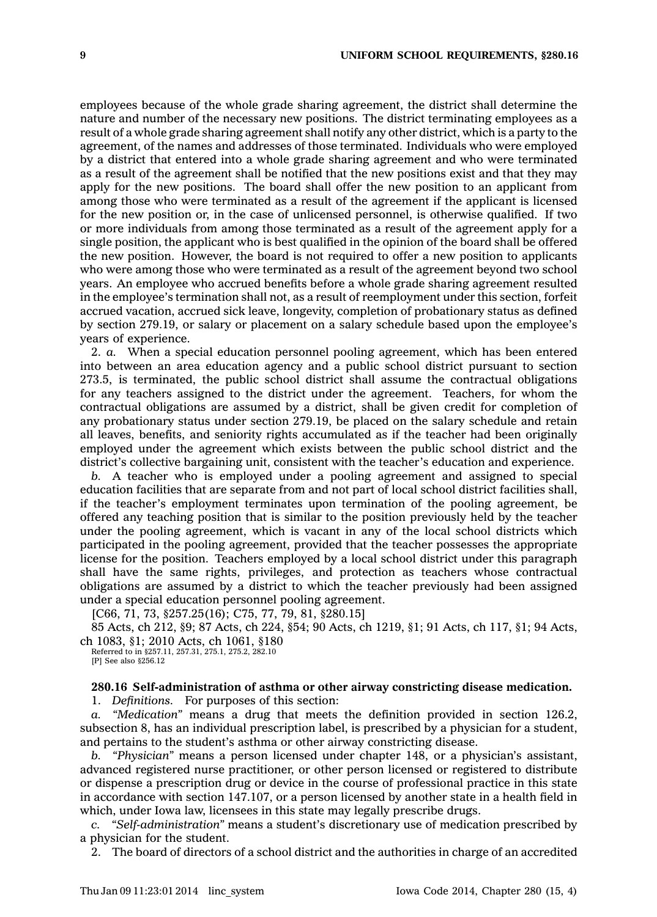employees because of the whole grade sharing agreement, the district shall determine the nature and number of the necessary new positions. The district terminating employees as <sup>a</sup> result of <sup>a</sup> whole grade sharing agreement shall notify any other district, which is <sup>a</sup> party to the agreement, of the names and addresses of those terminated. Individuals who were employed by <sup>a</sup> district that entered into <sup>a</sup> whole grade sharing agreement and who were terminated as <sup>a</sup> result of the agreement shall be notified that the new positions exist and that they may apply for the new positions. The board shall offer the new position to an applicant from among those who were terminated as <sup>a</sup> result of the agreement if the applicant is licensed for the new position or, in the case of unlicensed personnel, is otherwise qualified. If two or more individuals from among those terminated as <sup>a</sup> result of the agreement apply for <sup>a</sup> single position, the applicant who is best qualified in the opinion of the board shall be offered the new position. However, the board is not required to offer <sup>a</sup> new position to applicants who were among those who were terminated as <sup>a</sup> result of the agreement beyond two school years. An employee who accrued benefits before <sup>a</sup> whole grade sharing agreement resulted in the employee's termination shall not, as <sup>a</sup> result of reemployment under this section, forfeit accrued vacation, accrued sick leave, longevity, completion of probationary status as defined by section 279.19, or salary or placement on <sup>a</sup> salary schedule based upon the employee's years of experience.

2. *a.* When <sup>a</sup> special education personnel pooling agreement, which has been entered into between an area education agency and <sup>a</sup> public school district pursuant to section 273.5, is terminated, the public school district shall assume the contractual obligations for any teachers assigned to the district under the agreement. Teachers, for whom the contractual obligations are assumed by <sup>a</sup> district, shall be given credit for completion of any probationary status under section 279.19, be placed on the salary schedule and retain all leaves, benefits, and seniority rights accumulated as if the teacher had been originally employed under the agreement which exists between the public school district and the district's collective bargaining unit, consistent with the teacher's education and experience.

*b.* A teacher who is employed under <sup>a</sup> pooling agreement and assigned to special education facilities that are separate from and not part of local school district facilities shall, if the teacher's employment terminates upon termination of the pooling agreement, be offered any teaching position that is similar to the position previously held by the teacher under the pooling agreement, which is vacant in any of the local school districts which participated in the pooling agreement, provided that the teacher possesses the appropriate license for the position. Teachers employed by <sup>a</sup> local school district under this paragraph shall have the same rights, privileges, and protection as teachers whose contractual obligations are assumed by <sup>a</sup> district to which the teacher previously had been assigned under <sup>a</sup> special education personnel pooling agreement.

[C66, 71, 73, §257.25(16); C75, 77, 79, 81, §280.15]

85 Acts, ch 212, §9; 87 Acts, ch 224, §54; 90 Acts, ch 1219, §1; 91 Acts, ch 117, §1; 94 Acts, ch 1083, §1; 2010 Acts, ch 1061, §180 Referred to in §257.11, 257.31, 275.1, 275.2, 282.10

[P] See also §256.12

**280.16 Self-administration of asthma or other airway constricting disease medication.**

1. *Definitions.* For purposes of this section:

*a. "Medication"* means <sup>a</sup> drug that meets the definition provided in section 126.2, subsection 8, has an individual prescription label, is prescribed by <sup>a</sup> physician for <sup>a</sup> student, and pertains to the student's asthma or other airway constricting disease.

*b. "Physician"* means <sup>a</sup> person licensed under chapter 148, or <sup>a</sup> physician's assistant, advanced registered nurse practitioner, or other person licensed or registered to distribute or dispense <sup>a</sup> prescription drug or device in the course of professional practice in this state in accordance with section 147.107, or <sup>a</sup> person licensed by another state in <sup>a</sup> health field in which, under Iowa law, licensees in this state may legally prescribe drugs.

*c. "Self-administration"* means <sup>a</sup> student's discretionary use of medication prescribed by <sup>a</sup> physician for the student.

2. The board of directors of <sup>a</sup> school district and the authorities in charge of an accredited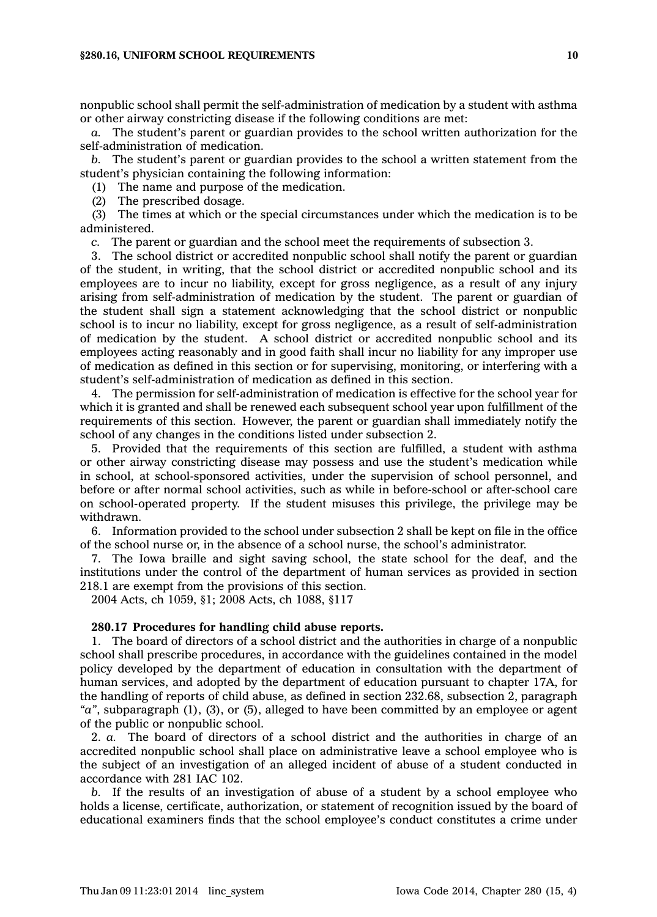nonpublic school shall permit the self-administration of medication by <sup>a</sup> student with asthma or other airway constricting disease if the following conditions are met:

*a.* The student's parent or guardian provides to the school written authorization for the self-administration of medication.

*b.* The student's parent or guardian provides to the school <sup>a</sup> written statement from the student's physician containing the following information:

(1) The name and purpose of the medication.

(2) The prescribed dosage.

(3) The times at which or the special circumstances under which the medication is to be administered.

*c.* The parent or guardian and the school meet the requirements of subsection 3.

3. The school district or accredited nonpublic school shall notify the parent or guardian of the student, in writing, that the school district or accredited nonpublic school and its employees are to incur no liability, except for gross negligence, as <sup>a</sup> result of any injury arising from self-administration of medication by the student. The parent or guardian of the student shall sign <sup>a</sup> statement acknowledging that the school district or nonpublic school is to incur no liability, except for gross negligence, as <sup>a</sup> result of self-administration of medication by the student. A school district or accredited nonpublic school and its employees acting reasonably and in good faith shall incur no liability for any improper use of medication as defined in this section or for supervising, monitoring, or interfering with <sup>a</sup> student's self-administration of medication as defined in this section.

4. The permission for self-administration of medication is effective for the school year for which it is granted and shall be renewed each subsequent school year upon fulfillment of the requirements of this section. However, the parent or guardian shall immediately notify the school of any changes in the conditions listed under subsection 2.

5. Provided that the requirements of this section are fulfilled, <sup>a</sup> student with asthma or other airway constricting disease may possess and use the student's medication while in school, at school-sponsored activities, under the supervision of school personnel, and before or after normal school activities, such as while in before-school or after-school care on school-operated property. If the student misuses this privilege, the privilege may be withdrawn.

6. Information provided to the school under subsection 2 shall be kept on file in the office of the school nurse or, in the absence of <sup>a</sup> school nurse, the school's administrator.

7. The Iowa braille and sight saving school, the state school for the deaf, and the institutions under the control of the department of human services as provided in section 218.1 are exempt from the provisions of this section.

2004 Acts, ch 1059, §1; 2008 Acts, ch 1088, §117

# **280.17 Procedures for handling child abuse reports.**

1. The board of directors of <sup>a</sup> school district and the authorities in charge of <sup>a</sup> nonpublic school shall prescribe procedures, in accordance with the guidelines contained in the model policy developed by the department of education in consultation with the department of human services, and adopted by the department of education pursuant to chapter 17A, for the handling of reports of child abuse, as defined in section 232.68, subsection 2, paragraph *"a"*, subparagraph (1), (3), or (5), alleged to have been committed by an employee or agent of the public or nonpublic school.

2. *a.* The board of directors of <sup>a</sup> school district and the authorities in charge of an accredited nonpublic school shall place on administrative leave <sup>a</sup> school employee who is the subject of an investigation of an alleged incident of abuse of <sup>a</sup> student conducted in accordance with 281 IAC 102.

*b.* If the results of an investigation of abuse of <sup>a</sup> student by <sup>a</sup> school employee who holds <sup>a</sup> license, certificate, authorization, or statement of recognition issued by the board of educational examiners finds that the school employee's conduct constitutes <sup>a</sup> crime under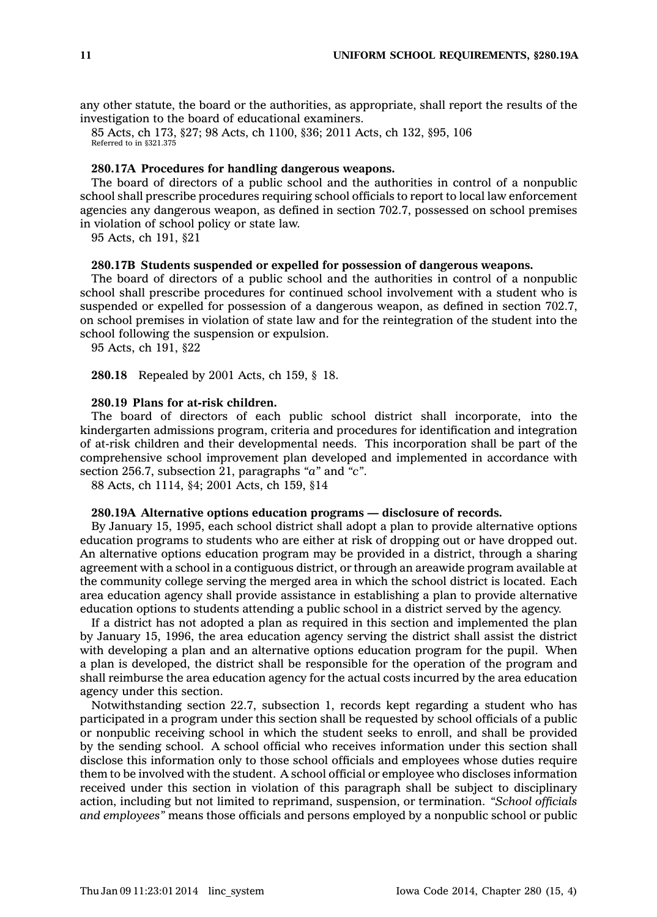any other statute, the board or the authorities, as appropriate, shall report the results of the investigation to the board of educational examiners.

85 Acts, ch 173, §27; 98 Acts, ch 1100, §36; 2011 Acts, ch 132, §95, 106 Referred to in §321.375

# **280.17A Procedures for handling dangerous weapons.**

The board of directors of <sup>a</sup> public school and the authorities in control of <sup>a</sup> nonpublic school shall prescribe procedures requiring school officials to report to local law enforcement agencies any dangerous weapon, as defined in section 702.7, possessed on school premises in violation of school policy or state law.

95 Acts, ch 191, §21

### **280.17B Students suspended or expelled for possession of dangerous weapons.**

The board of directors of <sup>a</sup> public school and the authorities in control of <sup>a</sup> nonpublic school shall prescribe procedures for continued school involvement with <sup>a</sup> student who is suspended or expelled for possession of <sup>a</sup> dangerous weapon, as defined in section 702.7, on school premises in violation of state law and for the reintegration of the student into the school following the suspension or expulsion.

95 Acts, ch 191, §22

**280.18** Repealed by 2001 Acts, ch 159, § 18.

# **280.19 Plans for at-risk children.**

The board of directors of each public school district shall incorporate, into the kindergarten admissions program, criteria and procedures for identification and integration of at-risk children and their developmental needs. This incorporation shall be part of the comprehensive school improvement plan developed and implemented in accordance with section 256.7, subsection 21, paragraphs *"a"* and *"c"*.

88 Acts, ch 1114, §4; 2001 Acts, ch 159, §14

#### **280.19A Alternative options education programs — disclosure of records.**

By January 15, 1995, each school district shall adopt <sup>a</sup> plan to provide alternative options education programs to students who are either at risk of dropping out or have dropped out. An alternative options education program may be provided in <sup>a</sup> district, through <sup>a</sup> sharing agreement with <sup>a</sup> school in <sup>a</sup> contiguous district, or through an areawide program available at the community college serving the merged area in which the school district is located. Each area education agency shall provide assistance in establishing <sup>a</sup> plan to provide alternative education options to students attending <sup>a</sup> public school in <sup>a</sup> district served by the agency.

If <sup>a</sup> district has not adopted <sup>a</sup> plan as required in this section and implemented the plan by January 15, 1996, the area education agency serving the district shall assist the district with developing <sup>a</sup> plan and an alternative options education program for the pupil. When <sup>a</sup> plan is developed, the district shall be responsible for the operation of the program and shall reimburse the area education agency for the actual costs incurred by the area education agency under this section.

Notwithstanding section 22.7, subsection 1, records kept regarding <sup>a</sup> student who has participated in <sup>a</sup> program under this section shall be requested by school officials of <sup>a</sup> public or nonpublic receiving school in which the student seeks to enroll, and shall be provided by the sending school. A school official who receives information under this section shall disclose this information only to those school officials and employees whose duties require them to be involved with the student. A school official or employee who discloses information received under this section in violation of this paragraph shall be subject to disciplinary action, including but not limited to reprimand, suspension, or termination. *"School officials and employees"* means those officials and persons employed by <sup>a</sup> nonpublic school or public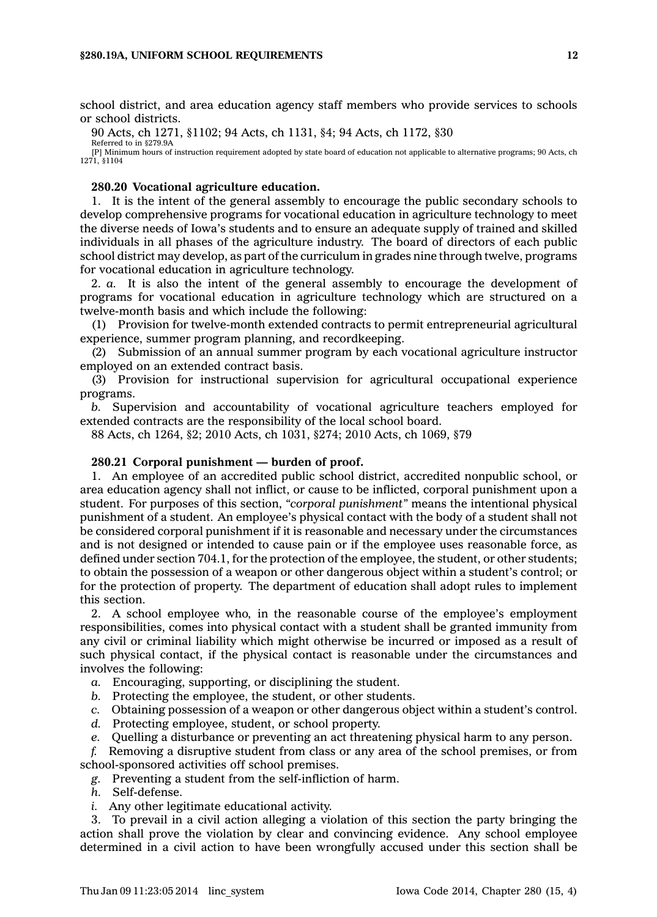school district, and area education agency staff members who provide services to schools or school districts.

90 Acts, ch 1271, §1102; 94 Acts, ch 1131, §4; 94 Acts, ch 1172, §30 Referred to in §279.9A

[P] Minimum hours of instruction requirement adopted by state board of education not applicable to alternative programs; 90 Acts, ch 1271, §1104

### **280.20 Vocational agriculture education.**

1. It is the intent of the general assembly to encourage the public secondary schools to develop comprehensive programs for vocational education in agriculture technology to meet the diverse needs of Iowa's students and to ensure an adequate supply of trained and skilled individuals in all phases of the agriculture industry. The board of directors of each public school district may develop, as part of the curriculum in grades nine through twelve, programs for vocational education in agriculture technology.

2. *a.* It is also the intent of the general assembly to encourage the development of programs for vocational education in agriculture technology which are structured on <sup>a</sup> twelve-month basis and which include the following:

(1) Provision for twelve-month extended contracts to permit entrepreneurial agricultural experience, summer program planning, and recordkeeping.

(2) Submission of an annual summer program by each vocational agriculture instructor employed on an extended contract basis.

(3) Provision for instructional supervision for agricultural occupational experience programs.

*b.* Supervision and accountability of vocational agriculture teachers employed for extended contracts are the responsibility of the local school board.

88 Acts, ch 1264, §2; 2010 Acts, ch 1031, §274; 2010 Acts, ch 1069, §79

# **280.21 Corporal punishment — burden of proof.**

1. An employee of an accredited public school district, accredited nonpublic school, or area education agency shall not inflict, or cause to be inflicted, corporal punishment upon <sup>a</sup> student. For purposes of this section, *"corporal punishment"* means the intentional physical punishment of <sup>a</sup> student. An employee's physical contact with the body of <sup>a</sup> student shall not be considered corporal punishment if it is reasonable and necessary under the circumstances and is not designed or intended to cause pain or if the employee uses reasonable force, as defined under section 704.1, for the protection of the employee, the student, or other students; to obtain the possession of <sup>a</sup> weapon or other dangerous object within <sup>a</sup> student's control; or for the protection of property. The department of education shall adopt rules to implement this section.

2. A school employee who, in the reasonable course of the employee's employment responsibilities, comes into physical contact with <sup>a</sup> student shall be granted immunity from any civil or criminal liability which might otherwise be incurred or imposed as <sup>a</sup> result of such physical contact, if the physical contact is reasonable under the circumstances and involves the following:

- *a.* Encouraging, supporting, or disciplining the student.
- *b.* Protecting the employee, the student, or other students.
- *c.* Obtaining possession of <sup>a</sup> weapon or other dangerous object within <sup>a</sup> student's control.
- *d.* Protecting employee, student, or school property.
- *e.* Quelling <sup>a</sup> disturbance or preventing an act threatening physical harm to any person.

*f.* Removing <sup>a</sup> disruptive student from class or any area of the school premises, or from school-sponsored activities off school premises.

*g.* Preventing <sup>a</sup> student from the self-infliction of harm.

- *h.* Self-defense.
- *i.* Any other legitimate educational activity.

3. To prevail in <sup>a</sup> civil action alleging <sup>a</sup> violation of this section the party bringing the action shall prove the violation by clear and convincing evidence. Any school employee determined in <sup>a</sup> civil action to have been wrongfully accused under this section shall be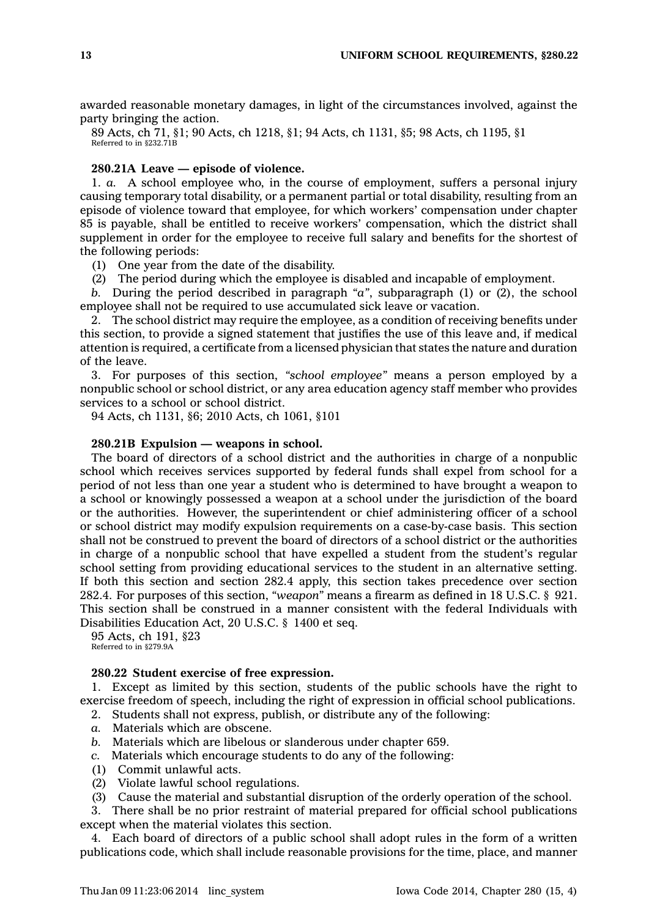awarded reasonable monetary damages, in light of the circumstances involved, against the party bringing the action.

89 Acts, ch 71, §1; 90 Acts, ch 1218, §1; 94 Acts, ch 1131, §5; 98 Acts, ch 1195, §1 Referred to in §232.71B

# **280.21A Leave — episode of violence.**

1. *a.* A school employee who, in the course of employment, suffers <sup>a</sup> personal injury causing temporary total disability, or <sup>a</sup> permanent partial or total disability, resulting from an episode of violence toward that employee, for which workers' compensation under chapter 85 is payable, shall be entitled to receive workers' compensation, which the district shall supplement in order for the employee to receive full salary and benefits for the shortest of the following periods:

(1) One year from the date of the disability.

(2) The period during which the employee is disabled and incapable of employment.

*b.* During the period described in paragraph *"a"*, subparagraph (1) or (2), the school employee shall not be required to use accumulated sick leave or vacation.

2. The school district may require the employee, as <sup>a</sup> condition of receiving benefits under this section, to provide <sup>a</sup> signed statement that justifies the use of this leave and, if medical attention is required, <sup>a</sup> certificate from <sup>a</sup> licensed physician that states the nature and duration of the leave.

3. For purposes of this section, *"school employee"* means <sup>a</sup> person employed by <sup>a</sup> nonpublic school or school district, or any area education agency staff member who provides services to <sup>a</sup> school or school district.

94 Acts, ch 1131, §6; 2010 Acts, ch 1061, §101

# **280.21B Expulsion — weapons in school.**

The board of directors of <sup>a</sup> school district and the authorities in charge of <sup>a</sup> nonpublic school which receives services supported by federal funds shall expel from school for <sup>a</sup> period of not less than one year <sup>a</sup> student who is determined to have brought <sup>a</sup> weapon to <sup>a</sup> school or knowingly possessed <sup>a</sup> weapon at <sup>a</sup> school under the jurisdiction of the board or the authorities. However, the superintendent or chief administering officer of <sup>a</sup> school or school district may modify expulsion requirements on <sup>a</sup> case-by-case basis. This section shall not be construed to prevent the board of directors of <sup>a</sup> school district or the authorities in charge of <sup>a</sup> nonpublic school that have expelled <sup>a</sup> student from the student's regular school setting from providing educational services to the student in an alternative setting. If both this section and section 282.4 apply, this section takes precedence over section 282.4. For purposes of this section, *"weapon"* means <sup>a</sup> firearm as defined in 18 U.S.C. § 921. This section shall be construed in <sup>a</sup> manner consistent with the federal Individuals with Disabilities Education Act, 20 U.S.C. § 1400 et seq.

95 Acts, ch 191, §23 Referred to in §279.9A

### **280.22 Student exercise of free expression.**

1. Except as limited by this section, students of the public schools have the right to exercise freedom of speech, including the right of expression in official school publications.

2. Students shall not express, publish, or distribute any of the following:

- *a.* Materials which are obscene.
- *b.* Materials which are libelous or slanderous under chapter 659.
- *c.* Materials which encourage students to do any of the following:
- (1) Commit unlawful acts.
- (2) Violate lawful school regulations.
- (3) Cause the material and substantial disruption of the orderly operation of the school.

3. There shall be no prior restraint of material prepared for official school publications except when the material violates this section.

4. Each board of directors of <sup>a</sup> public school shall adopt rules in the form of <sup>a</sup> written publications code, which shall include reasonable provisions for the time, place, and manner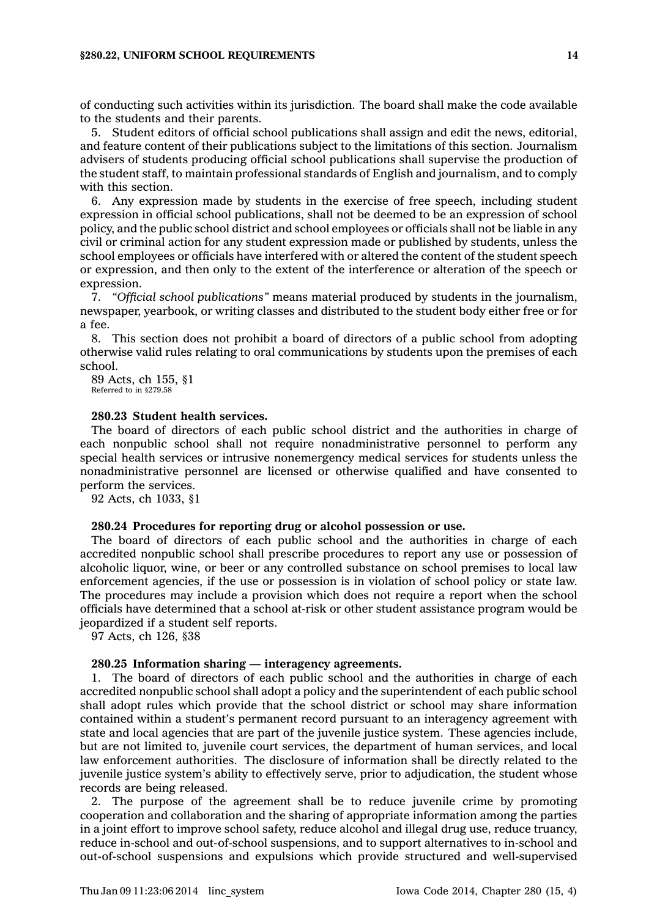of conducting such activities within its jurisdiction. The board shall make the code available to the students and their parents.

5. Student editors of official school publications shall assign and edit the news, editorial, and feature content of their publications subject to the limitations of this section. Journalism advisers of students producing official school publications shall supervise the production of the student staff, to maintain professional standards of English and journalism, and to comply with this section.

6. Any expression made by students in the exercise of free speech, including student expression in official school publications, shall not be deemed to be an expression of school policy, and the public school district and school employees or officials shall not be liable in any civil or criminal action for any student expression made or published by students, unless the school employees or officials have interfered with or altered the content of the student speech or expression, and then only to the extent of the interference or alteration of the speech or expression.

7. *"Official school publications"* means material produced by students in the journalism, newspaper, yearbook, or writing classes and distributed to the student body either free or for <sup>a</sup> fee.

8. This section does not prohibit <sup>a</sup> board of directors of <sup>a</sup> public school from adopting otherwise valid rules relating to oral communications by students upon the premises of each school.

89 Acts, ch 155, §1 Referred to in §279.58

#### **280.23 Student health services.**

The board of directors of each public school district and the authorities in charge of each nonpublic school shall not require nonadministrative personnel to perform any special health services or intrusive nonemergency medical services for students unless the nonadministrative personnel are licensed or otherwise qualified and have consented to perform the services.

92 Acts, ch 1033, §1

# **280.24 Procedures for reporting drug or alcohol possession or use.**

The board of directors of each public school and the authorities in charge of each accredited nonpublic school shall prescribe procedures to report any use or possession of alcoholic liquor, wine, or beer or any controlled substance on school premises to local law enforcement agencies, if the use or possession is in violation of school policy or state law. The procedures may include <sup>a</sup> provision which does not require <sup>a</sup> report when the school officials have determined that <sup>a</sup> school at-risk or other student assistance program would be jeopardized if <sup>a</sup> student self reports.

97 Acts, ch 126, §38

### **280.25 Information sharing — interagency agreements.**

1. The board of directors of each public school and the authorities in charge of each accredited nonpublic school shall adopt <sup>a</sup> policy and the superintendent of each public school shall adopt rules which provide that the school district or school may share information contained within <sup>a</sup> student's permanent record pursuant to an interagency agreement with state and local agencies that are part of the juvenile justice system. These agencies include, but are not limited to, juvenile court services, the department of human services, and local law enforcement authorities. The disclosure of information shall be directly related to the juvenile justice system's ability to effectively serve, prior to adjudication, the student whose records are being released.

2. The purpose of the agreement shall be to reduce juvenile crime by promoting cooperation and collaboration and the sharing of appropriate information among the parties in <sup>a</sup> joint effort to improve school safety, reduce alcohol and illegal drug use, reduce truancy, reduce in-school and out-of-school suspensions, and to support alternatives to in-school and out-of-school suspensions and expulsions which provide structured and well-supervised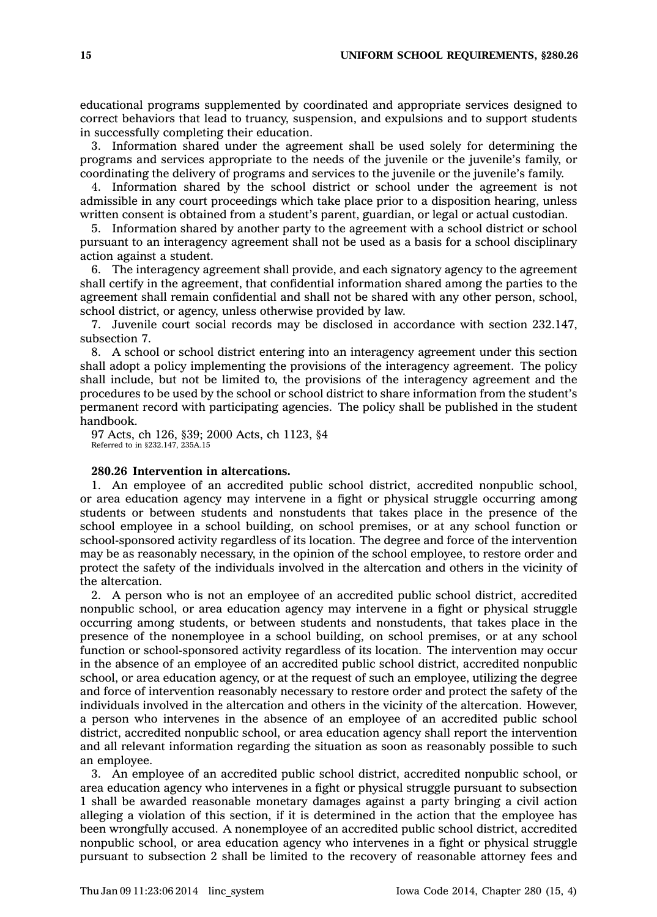educational programs supplemented by coordinated and appropriate services designed to correct behaviors that lead to truancy, suspension, and expulsions and to support students in successfully completing their education.

3. Information shared under the agreement shall be used solely for determining the programs and services appropriate to the needs of the juvenile or the juvenile's family, or coordinating the delivery of programs and services to the juvenile or the juvenile's family.

4. Information shared by the school district or school under the agreement is not admissible in any court proceedings which take place prior to <sup>a</sup> disposition hearing, unless written consent is obtained from <sup>a</sup> student's parent, guardian, or legal or actual custodian.

5. Information shared by another party to the agreement with <sup>a</sup> school district or school pursuant to an interagency agreement shall not be used as <sup>a</sup> basis for <sup>a</sup> school disciplinary action against <sup>a</sup> student.

6. The interagency agreement shall provide, and each signatory agency to the agreement shall certify in the agreement, that confidential information shared among the parties to the agreement shall remain confidential and shall not be shared with any other person, school, school district, or agency, unless otherwise provided by law.

7. Juvenile court social records may be disclosed in accordance with section 232.147, subsection 7.

8. A school or school district entering into an interagency agreement under this section shall adopt <sup>a</sup> policy implementing the provisions of the interagency agreement. The policy shall include, but not be limited to, the provisions of the interagency agreement and the procedures to be used by the school or school district to share information from the student's permanent record with participating agencies. The policy shall be published in the student handbook.

97 Acts, ch 126, §39; 2000 Acts, ch 1123, §4 Referred to in §232.147, 235A.15

# **280.26 Intervention in altercations.**

1. An employee of an accredited public school district, accredited nonpublic school, or area education agency may intervene in <sup>a</sup> fight or physical struggle occurring among students or between students and nonstudents that takes place in the presence of the school employee in <sup>a</sup> school building, on school premises, or at any school function or school-sponsored activity regardless of its location. The degree and force of the intervention may be as reasonably necessary, in the opinion of the school employee, to restore order and protect the safety of the individuals involved in the altercation and others in the vicinity of the altercation.

2. A person who is not an employee of an accredited public school district, accredited nonpublic school, or area education agency may intervene in <sup>a</sup> fight or physical struggle occurring among students, or between students and nonstudents, that takes place in the presence of the nonemployee in <sup>a</sup> school building, on school premises, or at any school function or school-sponsored activity regardless of its location. The intervention may occur in the absence of an employee of an accredited public school district, accredited nonpublic school, or area education agency, or at the request of such an employee, utilizing the degree and force of intervention reasonably necessary to restore order and protect the safety of the individuals involved in the altercation and others in the vicinity of the altercation. However, <sup>a</sup> person who intervenes in the absence of an employee of an accredited public school district, accredited nonpublic school, or area education agency shall report the intervention and all relevant information regarding the situation as soon as reasonably possible to such an employee.

3. An employee of an accredited public school district, accredited nonpublic school, or area education agency who intervenes in <sup>a</sup> fight or physical struggle pursuant to subsection 1 shall be awarded reasonable monetary damages against <sup>a</sup> party bringing <sup>a</sup> civil action alleging <sup>a</sup> violation of this section, if it is determined in the action that the employee has been wrongfully accused. A nonemployee of an accredited public school district, accredited nonpublic school, or area education agency who intervenes in <sup>a</sup> fight or physical struggle pursuant to subsection 2 shall be limited to the recovery of reasonable attorney fees and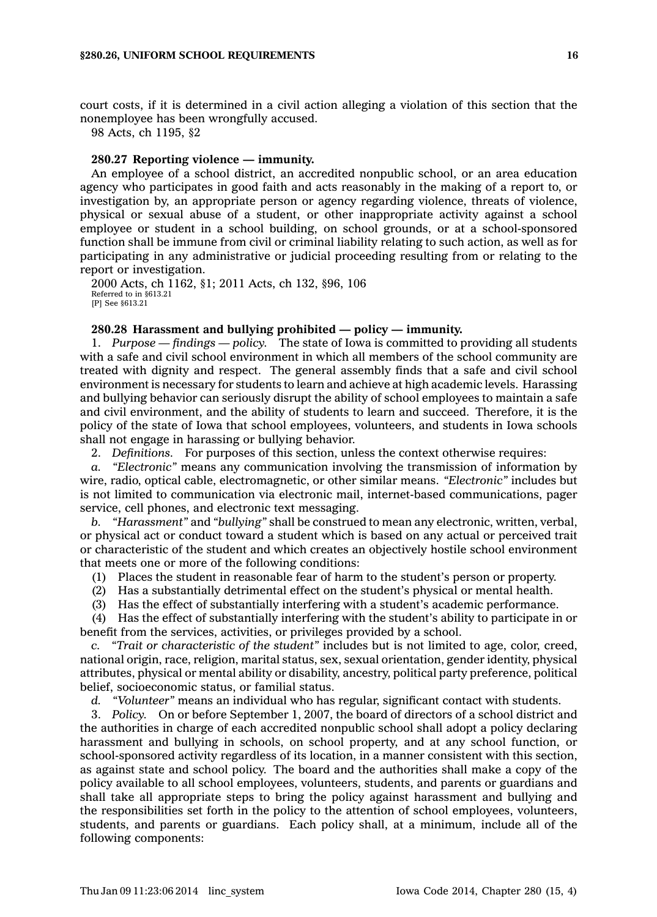court costs, if it is determined in <sup>a</sup> civil action alleging <sup>a</sup> violation of this section that the nonemployee has been wrongfully accused.

98 Acts, ch 1195, §2

# **280.27 Reporting violence — immunity.**

An employee of <sup>a</sup> school district, an accredited nonpublic school, or an area education agency who participates in good faith and acts reasonably in the making of <sup>a</sup> report to, or investigation by, an appropriate person or agency regarding violence, threats of violence, physical or sexual abuse of <sup>a</sup> student, or other inappropriate activity against <sup>a</sup> school employee or student in <sup>a</sup> school building, on school grounds, or at <sup>a</sup> school-sponsored function shall be immune from civil or criminal liability relating to such action, as well as for participating in any administrative or judicial proceeding resulting from or relating to the report or investigation.

2000 Acts, ch 1162, §1; 2011 Acts, ch 132, §96, 106 Referred to in §613.21 [P] See §613.21

#### **280.28 Harassment and bullying prohibited — policy — immunity.**

1. *Purpose — findings — policy.* The state of Iowa is committed to providing all students with <sup>a</sup> safe and civil school environment in which all members of the school community are treated with dignity and respect. The general assembly finds that <sup>a</sup> safe and civil school environment is necessary for students to learn and achieve at high academic levels. Harassing and bullying behavior can seriously disrupt the ability of school employees to maintain <sup>a</sup> safe and civil environment, and the ability of students to learn and succeed. Therefore, it is the policy of the state of Iowa that school employees, volunteers, and students in Iowa schools shall not engage in harassing or bullying behavior.

2. *Definitions.* For purposes of this section, unless the context otherwise requires:

*a. "Electronic"* means any communication involving the transmission of information by wire, radio, optical cable, electromagnetic, or other similar means. *"Electronic"* includes but is not limited to communication via electronic mail, internet-based communications, pager service, cell phones, and electronic text messaging.

*b. "Harassment"* and *"bullying"* shall be construed to mean any electronic, written, verbal, or physical act or conduct toward <sup>a</sup> student which is based on any actual or perceived trait or characteristic of the student and which creates an objectively hostile school environment that meets one or more of the following conditions:

(1) Places the student in reasonable fear of harm to the student's person or property.

(2) Has <sup>a</sup> substantially detrimental effect on the student's physical or mental health.

(3) Has the effect of substantially interfering with <sup>a</sup> student's academic performance.

(4) Has the effect of substantially interfering with the student's ability to participate in or benefit from the services, activities, or privileges provided by <sup>a</sup> school.

*c. "Trait or characteristic of the student"* includes but is not limited to age, color, creed, national origin, race, religion, marital status, sex, sexual orientation, gender identity, physical attributes, physical or mental ability or disability, ancestry, political party preference, political belief, socioeconomic status, or familial status.

*d. "Volunteer"* means an individual who has regular, significant contact with students.

3. *Policy.* On or before September 1, 2007, the board of directors of <sup>a</sup> school district and the authorities in charge of each accredited nonpublic school shall adopt <sup>a</sup> policy declaring harassment and bullying in schools, on school property, and at any school function, or school-sponsored activity regardless of its location, in <sup>a</sup> manner consistent with this section, as against state and school policy. The board and the authorities shall make <sup>a</sup> copy of the policy available to all school employees, volunteers, students, and parents or guardians and shall take all appropriate steps to bring the policy against harassment and bullying and the responsibilities set forth in the policy to the attention of school employees, volunteers, students, and parents or guardians. Each policy shall, at <sup>a</sup> minimum, include all of the following components: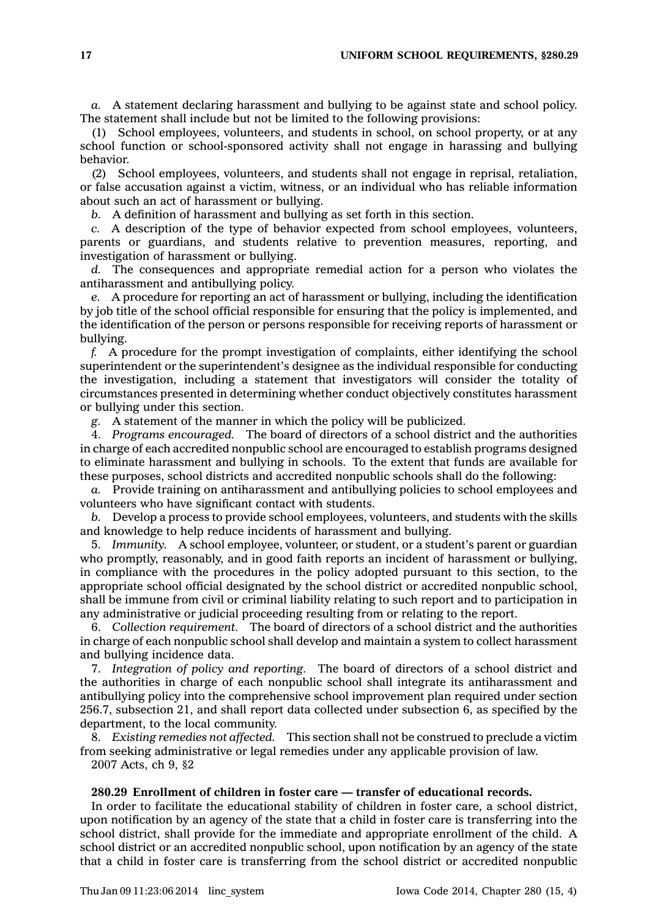*a.* A statement declaring harassment and bullying to be against state and school policy. The statement shall include but not be limited to the following provisions:

(1) School employees, volunteers, and students in school, on school property, or at any school function or school-sponsored activity shall not engage in harassing and bullying behavior.

(2) School employees, volunteers, and students shall not engage in reprisal, retaliation, or false accusation against <sup>a</sup> victim, witness, or an individual who has reliable information about such an act of harassment or bullying.

*b.* A definition of harassment and bullying as set forth in this section.

*c.* A description of the type of behavior expected from school employees, volunteers, parents or guardians, and students relative to prevention measures, reporting, and investigation of harassment or bullying.

*d.* The consequences and appropriate remedial action for <sup>a</sup> person who violates the antiharassment and antibullying policy.

*e.* A procedure for reporting an act of harassment or bullying, including the identification by job title of the school official responsible for ensuring that the policy is implemented, and the identification of the person or persons responsible for receiving reports of harassment or bullying.

*f.* A procedure for the prompt investigation of complaints, either identifying the school superintendent or the superintendent's designee as the individual responsible for conducting the investigation, including <sup>a</sup> statement that investigators will consider the totality of circumstances presented in determining whether conduct objectively constitutes harassment or bullying under this section.

*g.* A statement of the manner in which the policy will be publicized.

4. *Programs encouraged.* The board of directors of <sup>a</sup> school district and the authorities in charge of each accredited nonpublic school are encouraged to establish programs designed to eliminate harassment and bullying in schools. To the extent that funds are available for these purposes, school districts and accredited nonpublic schools shall do the following:

*a.* Provide training on antiharassment and antibullying policies to school employees and volunteers who have significant contact with students.

*b.* Develop <sup>a</sup> process to provide school employees, volunteers, and students with the skills and knowledge to help reduce incidents of harassment and bullying.

5. *Immunity.* A school employee, volunteer, or student, or <sup>a</sup> student's parent or guardian who promptly, reasonably, and in good faith reports an incident of harassment or bullying, in compliance with the procedures in the policy adopted pursuant to this section, to the appropriate school official designated by the school district or accredited nonpublic school, shall be immune from civil or criminal liability relating to such report and to participation in any administrative or judicial proceeding resulting from or relating to the report.

6. *Collection requirement.* The board of directors of <sup>a</sup> school district and the authorities in charge of each nonpublic school shall develop and maintain <sup>a</sup> system to collect harassment and bullying incidence data.

7. *Integration of policy and reporting.* The board of directors of <sup>a</sup> school district and the authorities in charge of each nonpublic school shall integrate its antiharassment and antibullying policy into the comprehensive school improvement plan required under section 256.7, subsection 21, and shall report data collected under subsection 6, as specified by the department, to the local community.

8. *Existing remedies not affected.* This section shall not be construed to preclude <sup>a</sup> victim from seeking administrative or legal remedies under any applicable provision of law. 2007 Acts, ch 9, §2

# **280.29 Enrollment of children in foster care — transfer of educational records.**

In order to facilitate the educational stability of children in foster care, <sup>a</sup> school district, upon notification by an agency of the state that <sup>a</sup> child in foster care is transferring into the school district, shall provide for the immediate and appropriate enrollment of the child. A school district or an accredited nonpublic school, upon notification by an agency of the state that <sup>a</sup> child in foster care is transferring from the school district or accredited nonpublic